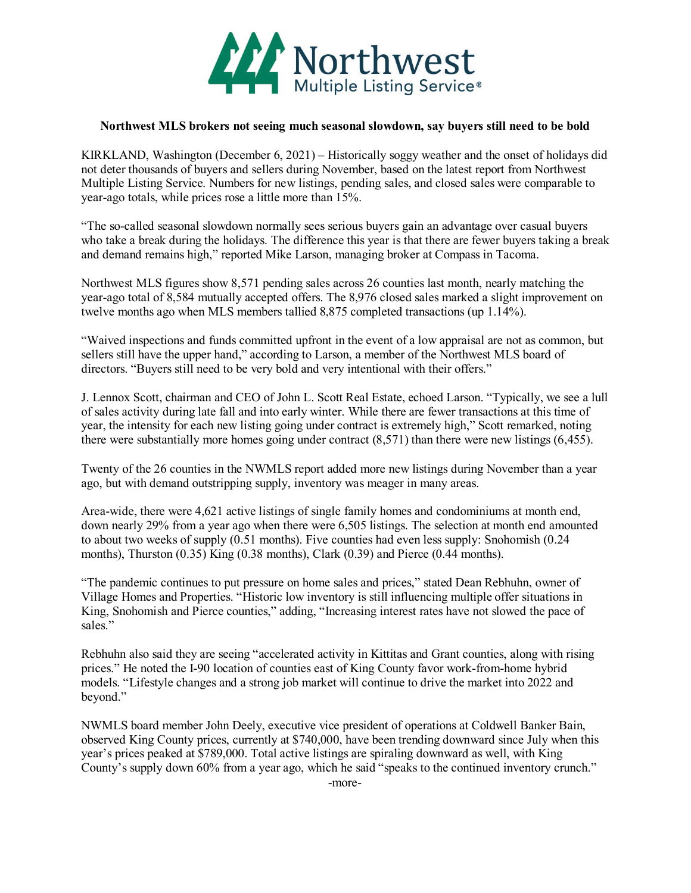

## **Northwest MLS brokers not seeing much seasonal slowdown, say buyers still need to be bold**

KIRKLAND, Washington (December 6, 2021) – Historically soggy weather and the onset of holidays did not deter thousands of buyers and sellers during November, based on the latest report from Northwest Multiple Listing Service. Numbers for new listings, pending sales, and closed sales were comparable to year-ago totals, while prices rose a little more than 15%.

"The so-called seasonal slowdown normally sees serious buyers gain an advantage over casual buyers who take a break during the holidays. The difference this year is that there are fewer buyers taking a break and demand remains high," reported Mike Larson, managing broker at Compass in Tacoma.

Northwest MLS figures show 8,571 pending sales across 26 counties last month, nearly matching the year-ago total of 8,584 mutually accepted offers. The 8,976 closed sales marked a slight improvement on twelve months ago when MLS members tallied 8,875 completed transactions (up 1.14%).

"Waived inspections and funds committed upfront in the event of a low appraisal are not as common, but sellers still have the upper hand," according to Larson, a member of the Northwest MLS board of directors. "Buyers still need to be very bold and very intentional with their offers."

J. Lennox Scott, chairman and CEO of John L. Scott Real Estate, echoed Larson. "Typically, we see a lull of sales activity during late fall and into early winter. While there are fewer transactions at this time of year, the intensity for each new listing going under contract is extremely high," Scott remarked, noting there were substantially more homes going under contract (8,571) than there were new listings (6,455).

Twenty of the 26 counties in the NWMLS report added more new listings during November than a year ago, but with demand outstripping supply, inventory was meager in many areas.

Area-wide, there were 4,621 active listings of single family homes and condominiums at month end, down nearly 29% from a year ago when there were 6,505 listings. The selection at month end amounted to about two weeks of supply (0.51 months). Five counties had even less supply: Snohomish (0.24 months), Thurston (0.35) King (0.38 months), Clark (0.39) and Pierce (0.44 months).

"The pandemic continues to put pressure on home sales and prices," stated Dean Rebhuhn, owner of Village Homes and Properties. "Historic low inventory is still influencing multiple offer situations in King, Snohomish and Pierce counties," adding, "Increasing interest rates have not slowed the pace of sales."

Rebhuhn also said they are seeing "accelerated activity in Kittitas and Grant counties, along with rising prices." He noted the I-90 location of counties east of King County favor work-from-home hybrid models. "Lifestyle changes and a strong job market will continue to drive the market into 2022 and beyond."

NWMLS board member John Deely, executive vice president of operations at Coldwell Banker Bain, observed King County prices, currently at \$740,000, have been trending downward since July when this year's prices peaked at \$789,000. Total active listings are spiraling downward as well, with King County's supply down 60% from a year ago, which he said "speaks to the continued inventory crunch." -more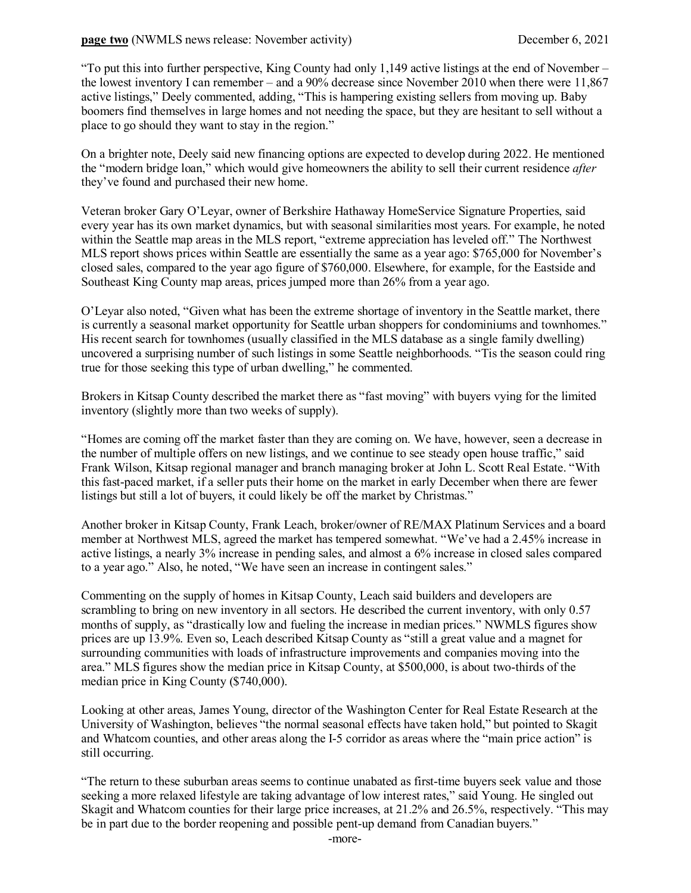"To put this into further perspective, King County had only 1,149 active listings at the end of November – the lowest inventory I can remember – and a 90% decrease since November 2010 when there were 11,867 active listings," Deely commented, adding, "This is hampering existing sellers from moving up. Baby boomers find themselves in large homes and not needing the space, but they are hesitant to sell without a place to go should they want to stay in the region."

On a brighter note, Deely said new financing options are expected to develop during 2022. He mentioned the "modern bridge loan," which would give homeowners the ability to sell their current residence *after* they've found and purchased their new home.

Veteran broker Gary O'Leyar, owner of Berkshire Hathaway HomeService Signature Properties, said every year has its own market dynamics, but with seasonal similarities most years. For example, he noted within the Seattle map areas in the MLS report, "extreme appreciation has leveled off." The Northwest MLS report shows prices within Seattle are essentially the same as a year ago: \$765,000 for November's closed sales, compared to the year ago figure of \$760,000. Elsewhere, for example, for the Eastside and Southeast King County map areas, prices jumped more than 26% from a year ago.

O'Leyar also noted, "Given what has been the extreme shortage of inventory in the Seattle market, there is currently a seasonal market opportunity for Seattle urban shoppers for condominiums and townhomes." His recent search for townhomes (usually classified in the MLS database as a single family dwelling) uncovered a surprising number of such listings in some Seattle neighborhoods. "Tis the season could ring true for those seeking this type of urban dwelling," he commented.

Brokers in Kitsap County described the market there as "fast moving" with buyers vying for the limited inventory (slightly more than two weeks of supply).

"Homes are coming off the market faster than they are coming on. We have, however, seen a decrease in the number of multiple offers on new listings, and we continue to see steady open house traffic," said Frank Wilson, Kitsap regional manager and branch managing broker at John L. Scott Real Estate. "With this fast-paced market, if a seller puts their home on the market in early December when there are fewer listings but still a lot of buyers, it could likely be off the market by Christmas."

Another broker in Kitsap County, Frank Leach, broker/owner of RE/MAX Platinum Services and a board member at Northwest MLS, agreed the market has tempered somewhat. "We've had a 2.45% increase in active listings, a nearly 3% increase in pending sales, and almost a 6% increase in closed sales compared to a year ago." Also, he noted, "We have seen an increase in contingent sales."

Commenting on the supply of homes in Kitsap County, Leach said builders and developers are scrambling to bring on new inventory in all sectors. He described the current inventory, with only 0.57 months of supply, as "drastically low and fueling the increase in median prices." NWMLS figures show prices are up 13.9%. Even so, Leach described Kitsap County as "still a great value and a magnet for surrounding communities with loads of infrastructure improvements and companies moving into the area." MLS figures show the median price in Kitsap County, at \$500,000, is about two-thirds of the median price in King County (\$740,000).

Looking at other areas, James Young, director of the Washington Center for Real Estate Research at the University of Washington, believes "the normal seasonal effects have taken hold," but pointed to Skagit and Whatcom counties, and other areas along the I-5 corridor as areas where the "main price action" is still occurring.

"The return to these suburban areas seems to continue unabated as first-time buyers seek value and those seeking a more relaxed lifestyle are taking advantage of low interest rates," said Young. He singled out Skagit and Whatcom counties for their large price increases, at 21.2% and 26.5%, respectively. "This may be in part due to the border reopening and possible pent-up demand from Canadian buyers."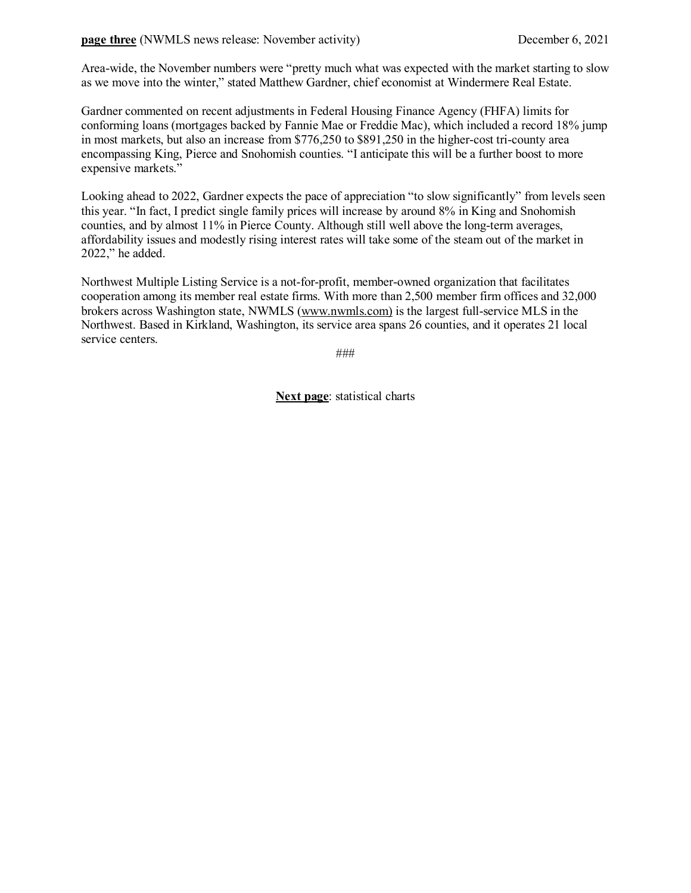Area-wide, the November numbers were "pretty much what was expected with the market starting to slow as we move into the winter," stated Matthew Gardner, chief economist at Windermere Real Estate.

Gardner commented on recent adjustments in Federal Housing Finance Agency (FHFA) limits for conforming loans (mortgages backed by Fannie Mae or Freddie Mac), which included a record 18% jump in most markets, but also an increase from \$776,250 to \$891,250 in the higher-cost tri-county area encompassing King, Pierce and Snohomish counties. "I anticipate this will be a further boost to more expensive markets."

Looking ahead to 2022, Gardner expects the pace of appreciation "to slow significantly" from levels seen this year. "In fact, I predict single family prices will increase by around 8% in King and Snohomish counties, and by almost 11% in Pierce County. Although still well above the long-term averages, affordability issues and modestly rising interest rates will take some of the steam out of the market in 2022," he added.

Northwest Multiple Listing Service is a not-for-profit, member-owned organization that facilitates cooperation among its member real estate firms. With more than 2,500 member firm offices and 32,000 brokers across Washington state, NWMLS [\(www.nwmls.com\)](http://www.nwmls.com/) is the largest full-service MLS in the Northwest. Based in Kirkland, Washington, its service area spans 26 counties, and it operates 21 local service centers.

###

**Next page**: statistical charts